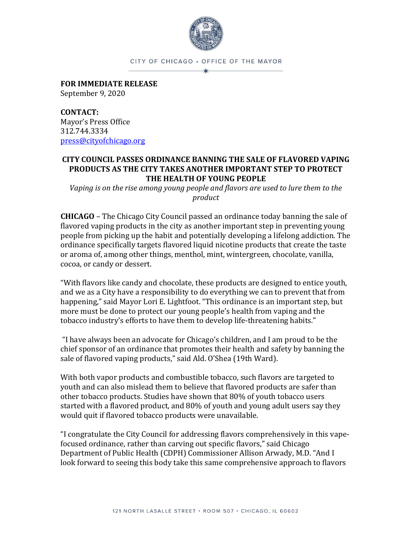

CITY OF CHICAGO . OFFICE OF THE MAYOR

**FOR IMMEDIATE RELEASE** September 9, 2020

**CONTACT:** Mayor's Press Office 312.744.3334 [press@cityofchicago.org](mailto:press@cityofchicago.org)

## **CITY COUNCIL PASSES ORDINANCE BANNING THE SALE OF FLAVORED VAPING PRODUCTS AS THE CITY TAKES ANOTHER IMPORTANT STEP TO PROTECT THE HEALTH OF YOUNG PEOPLE**

*Vaping is on the rise among young people and flavors are used to lure them to the product*

**CHICAGO** – The Chicago City Council passed an ordinance today banning the sale of flavored vaping products in the city as another important step in preventing young people from picking up the habit and potentially developing a lifelong addiction. The ordinance specifically targets flavored liquid nicotine products that create the taste or aroma of, among other things, menthol, mint, wintergreen, chocolate, vanilla, cocoa, or candy or dessert.

"With flavors like candy and chocolate, these products are designed to entice youth, and we as a City have a responsibility to do everything we can to prevent that from happening," said Mayor Lori E. Lightfoot. "This ordinance is an important step, but more must be done to protect our young people's health from vaping and the tobacco industry's efforts to have them to develop life-threatening habits."

"I have always been an advocate for Chicago's children, and I am proud to be the chief sponsor of an ordinance that promotes their health and safety by banning the sale of flavored vaping products," said Ald. O'Shea (19th Ward).

With both vapor products and combustible tobacco, such flavors are targeted to youth and can also mislead them to believe that flavored products are safer than other tobacco products. Studies have shown that 80% of youth tobacco users started with a flavored product, and 80% of youth and young adult users say they would quit if flavored tobacco products were unavailable.

"I congratulate the City Council for addressing flavors comprehensively in this vapefocused ordinance, rather than carving out specific flavors," said Chicago Department of Public Health (CDPH) Commissioner Allison Arwady, M.D. "And I look forward to seeing this body take this same comprehensive approach to flavors